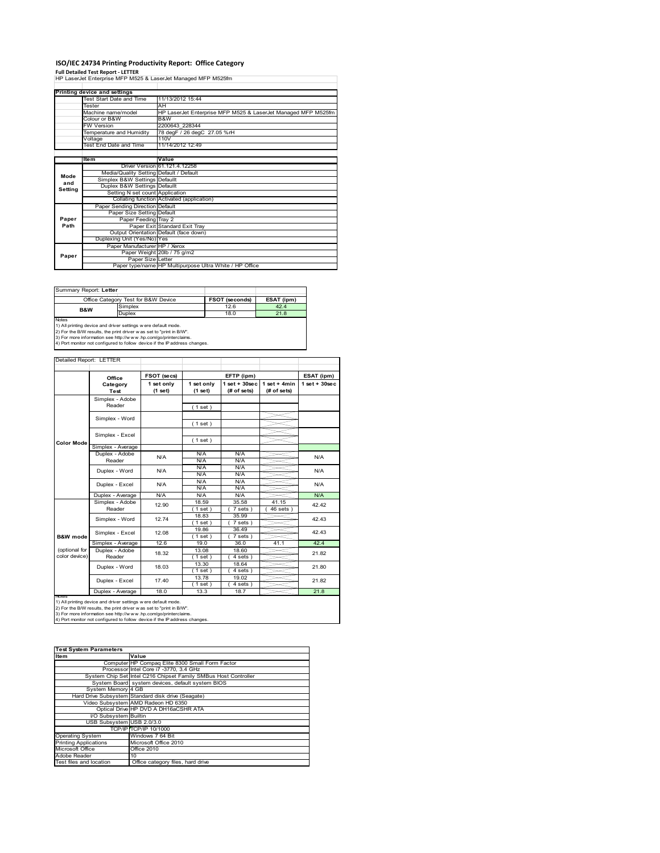# **ISO/IEC 24734 Printing Productivity Report: Office Category**

**Full Detailed Test Report ‐ LETTER** HP LaserJet Enterprise MFP M525 & LaserJet Managed MFP M525fm

|         | Printing device and settings            |                                                               |
|---------|-----------------------------------------|---------------------------------------------------------------|
|         | <b>Test Start Date and Time</b>         | 11/13/2012 15:44                                              |
|         | Tester                                  | AH                                                            |
|         | Machine name/model                      | HP LaserJet Enterprise MFP M525 & LaserJet Managed MFP M525fm |
|         | Colour or B&W                           | B&W                                                           |
|         | <b>FW Version</b>                       | 2200643 228344                                                |
|         | Temperature and Humidity                | 78 degF / 26 degC 27.05 %rH                                   |
|         | Voltage                                 | 110V                                                          |
|         | Test End Date and Time                  | 11/14/2012 12:49                                              |
|         |                                         |                                                               |
|         | <b>Item</b>                             | Value                                                         |
|         |                                         | Driver Version 61.121.4.12258                                 |
| Mode    | Media/Quality Setting Default / Default |                                                               |
| and     | Simplex B&W Settings Defaullt           |                                                               |
| Setting | Duplex B&W Settings Defaullt            |                                                               |
|         | Setting N set count Application         |                                                               |
|         |                                         | Collating function Activated (application)                    |
|         | Paper Sending Direction Default         |                                                               |
|         | Paper Size Setting Default              |                                                               |
| Paper   | Paper Feeding Tray 2                    |                                                               |
| Path    |                                         | Paper Exit Standard Exit Tray                                 |
|         |                                         | Output Orientation Default (face down)                        |
|         | Duplexing Unit (Yes/No) Yes             |                                                               |
|         | Paper Manufacturer HP / Xerox           |                                                               |
| Paper   |                                         | Paper Weight 20lb / 75 g/m2                                   |
|         | Paper Size Letter                       |                                                               |
|         |                                         | Paper type/name HP Multipurpose Ultra White / HP Office       |

Summary Report: **Letter**

| TOUITHICIV REDUIT. LETTER                                                  |                                                                     |                       |              |  |  |  |  |
|----------------------------------------------------------------------------|---------------------------------------------------------------------|-----------------------|--------------|--|--|--|--|
|                                                                            | Office Category Test for B&W Device                                 | <b>FSOT (seconds)</b> | ESAT (ipm)   |  |  |  |  |
| B&W                                                                        | Simplex                                                             | 12.6                  | 42.4<br>21.8 |  |  |  |  |
|                                                                            | <b>Duplex</b>                                                       | 18.0                  |              |  |  |  |  |
| <b>Notes</b>                                                               |                                                                     |                       |              |  |  |  |  |
|                                                                            | 1) All printing device and driver settings w ere default mode.      |                       |              |  |  |  |  |
|                                                                            | 2) For the B/W results, the print driver was set to "print in B/W". |                       |              |  |  |  |  |
| 3) For more information see http://www.hp.com/go/printerclaims.            |                                                                     |                       |              |  |  |  |  |
| 4) Port monitor not configured to follow device if the IP address changes. |                                                                     |                       |              |  |  |  |  |

| Detailed Report: LETTER |                           |                           |                   |                    |                       |                 |
|-------------------------|---------------------------|---------------------------|-------------------|--------------------|-----------------------|-----------------|
|                         |                           |                           |                   |                    |                       |                 |
|                         | Office                    | FSOT (secs)<br>EFTP (ipm) |                   |                    | ESAT (ipm)            |                 |
|                         | Category                  | 1 set only                | 1 set only        | $1$ set + $30$ sec | $1 set + 4 min$       | $1$ set + 30sec |
|                         | Test                      | (1 set)                   | (1 set)           | (# of sets)        | (# of sets)           |                 |
|                         | Simplex - Adobe<br>Reader |                           | (1 set)           |                    |                       |                 |
|                         |                           |                           |                   |                    |                       |                 |
|                         | Simplex - Word            |                           | (1 set)           |                    |                       |                 |
|                         |                           |                           |                   |                    |                       |                 |
|                         | Simplex - Excel           |                           |                   |                    |                       |                 |
| <b>Color Mode</b>       |                           |                           | (1 set)           |                    |                       |                 |
|                         | Simplex - Average         |                           |                   |                    |                       |                 |
|                         | Duplex - Adobe            | N/A                       | N/A               | N/A                |                       | N/A             |
|                         | Reader                    |                           | N/A               | N/A                |                       |                 |
|                         | Duplex - Word             | N/A                       | N/A               | N/A                |                       | N/A             |
|                         |                           |                           | N/A               | N/A                |                       |                 |
|                         | Duplex - Excel            | N/A                       | N/A               | N/A                |                       | N/A             |
|                         |                           |                           | N/A               | N/A                |                       |                 |
|                         | Duplex - Average          | N/A                       | N/A               | N/A                |                       | N/A             |
|                         | Simplex - Adobe           | 12.90                     | 18.59             | 35.58              | 41.15                 | 42.42<br>42.43  |
|                         | Reader                    |                           | $1$ set)          | 7 sets)            | $\overline{46}$ sets) |                 |
|                         | Simplex - Word            | 12.74                     | 18.83             | 35.99              |                       |                 |
|                         |                           |                           | $1$ set)          | 7 sets)            |                       |                 |
|                         | Simplex - Excel           | 12.08                     | 19.86             | 36.49              |                       | 42.43           |
| B&W mode                |                           |                           | $1$ set)          | 7 sets)            |                       |                 |
|                         | Simplex - Average         | 12.6                      | 19.0              | 36.0               | 41.1                  | 42.4            |
| (optional for           | Duplex - Adobe            | 18.32                     | 13.08             | 18.60              |                       | 21.82           |
| color device)           | Reader                    |                           | $1$ set)          | 4 sets)            |                       |                 |
|                         | Duplex - Word             | 18.03                     | 13.30             | 18.64              |                       | 21.80           |
|                         |                           |                           | $1$ set)          | 4 sets)            |                       |                 |
|                         | Duplex - Excel            | 17.40                     | 13.78<br>$1$ set) | 19.02<br>4 sets)   |                       | 21.82           |
|                         | Duplex - Average          | 18.0                      | 13.3              | 18.7               |                       | 21.8            |
|                         |                           |                           |                   |                    |                       |                 |

nations)<br>1) All printing device and driver settings were default mode.<br>2) For the B/W results, the print driver was set to "print in B/W".<br>3) For more information see http://www.hp.com/go/printerclaims.<br>4) Por monitor not

| <b>Test System Parameters</b> |                                                                 |  |  |  |  |
|-------------------------------|-----------------------------------------------------------------|--|--|--|--|
| <b>Item</b>                   | Value                                                           |  |  |  |  |
|                               | Computer HP Compaq Elite 8300 Small Form Factor                 |  |  |  |  |
|                               | Processor Intel Core i7 -3770, 3.4 GHz                          |  |  |  |  |
|                               | System Chip Set Intel C216 Chipset Family SMBus Host Controller |  |  |  |  |
|                               | System Board system devices, default system BIOS                |  |  |  |  |
| System Memory 4 GB            |                                                                 |  |  |  |  |
|                               | Hard Drive Subsystem Standard disk drive (Seagate)              |  |  |  |  |
|                               | Video Subsystem AMD Radeon HD 6350                              |  |  |  |  |
|                               | Optical Drive HP DVD A DH16aCSHR ATA                            |  |  |  |  |
| I/O Subsystem Builtin         |                                                                 |  |  |  |  |
| USB Subsystem USB 2.0/3.0     |                                                                 |  |  |  |  |
|                               | TCP/IPITCP/IP 10/1000                                           |  |  |  |  |
| <b>Operating System</b>       | Windows 7 64 Bit                                                |  |  |  |  |
| <b>Printing Applications</b>  | Microsoft Office 2010                                           |  |  |  |  |
| Microsoft Office              | <b>Office 2010</b>                                              |  |  |  |  |
| Adobe Reader                  | 10                                                              |  |  |  |  |
| Test files and location       | Office category files, hard drive                               |  |  |  |  |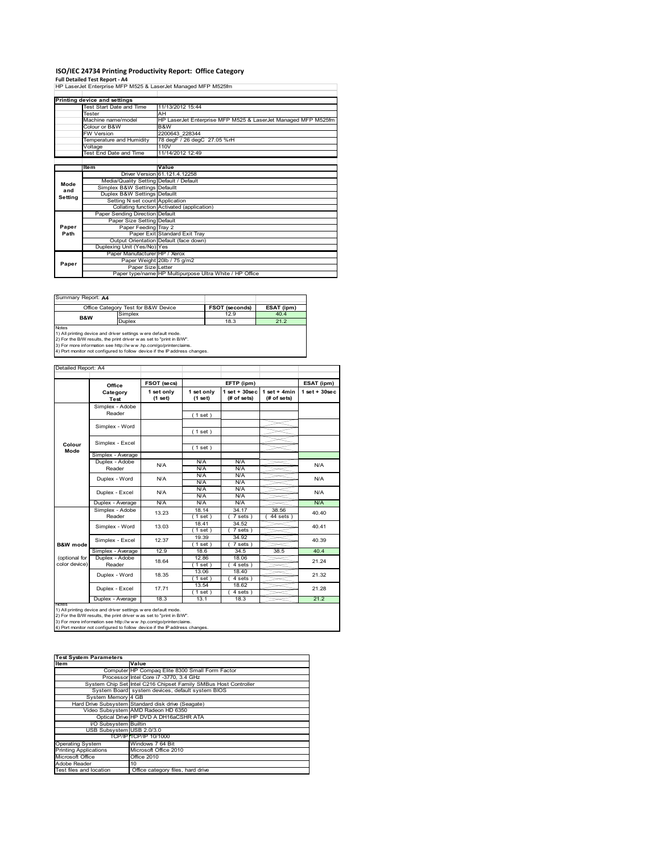# **ISO/IEC 24734 Printing Productivity Report: Office Category<br>Full Detailed Test Report - A4<br>HP LaserJet Enterprise MFP M525 & LaserJet Managed MFP M525fm**

|         | Printing device and settings            |                                                               |  |  |
|---------|-----------------------------------------|---------------------------------------------------------------|--|--|
|         | Test Start Date and Time                | 11/13/2012 15:44                                              |  |  |
|         | Tester                                  | AH                                                            |  |  |
|         | Machine name/model                      | HP LaserJet Enterprise MFP M525 & LaserJet Managed MFP M525fm |  |  |
|         | Colour or B&W                           | B&W                                                           |  |  |
|         | <b>FW Version</b>                       | 2200643 228344                                                |  |  |
|         | Temperature and Humidity                | 78 degF / 26 degC 27.05 %rH                                   |  |  |
|         | Voltage                                 | 110V                                                          |  |  |
|         | Test End Date and Time                  | 11/14/2012 12:49                                              |  |  |
|         |                                         |                                                               |  |  |
|         | <b>Item</b>                             | Value                                                         |  |  |
|         |                                         | Driver Version 61, 121, 4, 12258                              |  |  |
| Mode    | Media/Quality Setting Default / Default |                                                               |  |  |
| and     | Simplex B&W Settings Defaullt           |                                                               |  |  |
|         | Duplex B&W Settings Defaullt            |                                                               |  |  |
| Setting | Setting N set count Application         |                                                               |  |  |
|         |                                         | Collating function Activated (application)                    |  |  |
|         | Paper Sending Direction Default         |                                                               |  |  |
|         | Paper Size Setting Default              |                                                               |  |  |
| Paper   | Paper Feeding Tray 2                    |                                                               |  |  |
| Path    |                                         | Paper Exit Standard Exit Tray                                 |  |  |
|         |                                         | Output Orientation Default (face down)                        |  |  |
|         | Duplexing Unit (Yes/No) Yes             |                                                               |  |  |
|         | Paper Manufacturer HP / Xerox           |                                                               |  |  |
|         |                                         | Paper Weight 20lb / 75 g/m2                                   |  |  |
| Paper   | Paper Size Letter                       |                                                               |  |  |
|         |                                         | Paper type/name HP Multipurpose Ultra White / HP Office       |  |  |

| Summary Report: A4                                            |                                                                     |                       |            |  |  |  |
|---------------------------------------------------------------|---------------------------------------------------------------------|-----------------------|------------|--|--|--|
|                                                               | Office Category Test for B&W Device                                 | <b>FSOT (seconds)</b> | ESAT (ipm) |  |  |  |
| <b>B&amp;W</b>                                                | Simplex                                                             | 12.9                  | 40.4       |  |  |  |
|                                                               | Duplex                                                              | 18.3                  | 21.2       |  |  |  |
| <b>Notes</b>                                                  |                                                                     |                       |            |  |  |  |
| 1) All printing device and driver settings were default mode. |                                                                     |                       |            |  |  |  |
|                                                               | 2) For the B/W results, the print driver was set to "print in B/W". |                       |            |  |  |  |

2) For the B/W results, the print driver w as set to "print in B/W".<br>3) For more information see http://w w w .hp.com/go/printerclaims.<br>4) Port monitor not configured to follow device if the IP address changes.

|                                | Office                    |                       | FSOT (secs)<br>EFTP (ipm) |                                   |                                | ESAT (ipm)       |
|--------------------------------|---------------------------|-----------------------|---------------------------|-----------------------------------|--------------------------------|------------------|
|                                | Category<br>Test          | 1 set only<br>(1 set) | 1 set only<br>(1 set)     | $1$ set + $30$ sec<br>(# of sets) | $1 set + 4 min$<br>(# of sets) | $1$ set + 30 sec |
|                                | Simplex - Adobe<br>Reader |                       | (1 set)                   |                                   |                                |                  |
|                                | Simplex - Word            |                       | (1 set)                   |                                   |                                |                  |
| Colour                         | Simplex - Excel           |                       |                           |                                   |                                |                  |
| Mode                           | Simplex - Average         |                       | (1 set)                   |                                   |                                |                  |
|                                | Duplex - Adobe<br>Reader  | N/A                   | N/A<br>N/A                | N/A<br>N/A                        |                                | N/A              |
|                                | Duplex - Word             | N/A                   | N/A<br>N/A                | N/A<br>N/A                        |                                | N/A              |
|                                | Duplex - Excel            | N/A                   | N/A<br>N/A                | N/A<br>N/A                        |                                | N/A              |
|                                | Duplex - Average          | N/A                   | N/A                       | N/A                               |                                | N/A              |
|                                | Simplex - Adobe<br>Reader | 13.23                 | 18.14<br>$1$ set)         | 34.17<br>$7 sets$ )               | 38.56<br>$44$ sets)            | 40.40            |
|                                | Simplex - Word            | 13.03                 | 18.41<br>(1 set)          | 34.52<br>7 sets)                  |                                | 40.41            |
| B&W mode                       | Simplex - Excel           | 12.37                 | 19.39<br>(1 set)          | 34.92<br>7 sets)                  |                                | 40.39            |
|                                | Simplex - Average         | 12.9                  | 18.6                      | 34.5                              | 38.5                           | 40.4             |
| (optional for<br>color device) | Duplex - Adobe<br>Reader  | 18.64                 | 12.86<br>(1 set )         | 18.06<br>4 sets)                  |                                | 21.24            |
|                                | Duplex - Word             | 18.35                 | 13.06<br>(1 set)          | 18.40<br>4 sets)                  |                                | 21.32            |
|                                | Duplex - Excel            | 17.71                 | 13.54<br>$1$ set)         | 18.62<br>4 sets)                  |                                | 21.28            |
|                                | Duplex - Average          | 18.3                  | 13.1                      | 18.3                              |                                | 21.2             |

nations<br>1) All printing device and driver settings were default mode.<br>2) For the B/W results, the print driver was set to "print in B/W".<br>3) For more information see http://www.hp.com/go/printercialms.<br>4) Por moral or not

| <b>Test System Parameters</b> |                                                                 |  |  |  |
|-------------------------------|-----------------------------------------------------------------|--|--|--|
| <b>Item</b>                   | Value                                                           |  |  |  |
|                               |                                                                 |  |  |  |
|                               | Computer HP Compag Elite 8300 Small Form Factor                 |  |  |  |
|                               | Processor Intel Core i7 -3770, 3.4 GHz                          |  |  |  |
|                               | System Chip Set Intel C216 Chipset Family SMBus Host Controller |  |  |  |
|                               | System Board system devices, default system BIOS                |  |  |  |
| System Memory 4 GB            |                                                                 |  |  |  |
|                               | Hard Drive Subsystem Standard disk drive (Seagate)              |  |  |  |
|                               | Video Subsystem AMD Radeon HD 6350                              |  |  |  |
|                               | Optical Drive HP DVD A DH16aCSHR ATA                            |  |  |  |
| <b>VO Subsystem Builtin</b>   |                                                                 |  |  |  |
| USB Subsystem USB 2.0/3.0     |                                                                 |  |  |  |
|                               | TCP/IP TCP/IP 10/1000                                           |  |  |  |
| <b>Operating System</b>       | Windows 7 64 Bit                                                |  |  |  |
| <b>Printing Applications</b>  | Microsoft Office 2010                                           |  |  |  |
| Microsoft Office              | <b>Office 2010</b>                                              |  |  |  |
| Adobe Reader                  | 10                                                              |  |  |  |
| Test files and location       | Office category files, hard drive                               |  |  |  |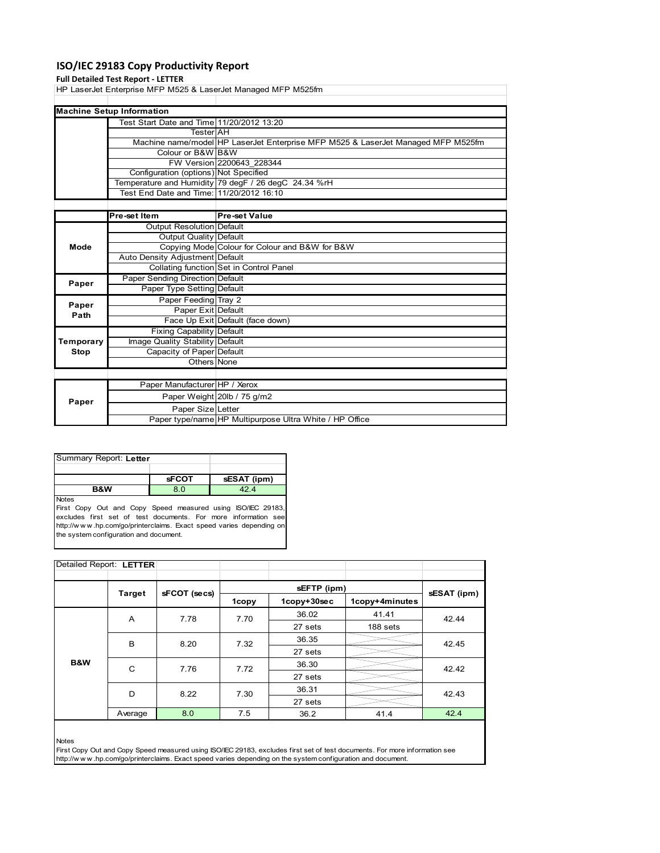# **ISO/IEC 29183 Copy Productivity Report**

### **Full Detailed Test Report ‐ LETTER**

HP LaserJet Enterprise MFP M525 & LaserJet Managed MFP M525fm

| <b>Machine Setup Information</b>          |                                                                                  |  |  |  |  |
|-------------------------------------------|----------------------------------------------------------------------------------|--|--|--|--|
| Test Start Date and Time 11/20/2012 13:20 |                                                                                  |  |  |  |  |
| <b>Tester</b> AH                          |                                                                                  |  |  |  |  |
|                                           | Machine name/model HP LaserJet Enterprise MFP M525 & LaserJet Managed MFP M525fm |  |  |  |  |
| Colour or B&W B&W                         |                                                                                  |  |  |  |  |
|                                           | FW Version 2200643 228344                                                        |  |  |  |  |
| Configuration (options) Not Specified     |                                                                                  |  |  |  |  |
|                                           | Temperature and Humidity 79 degF / 26 degC 24.34 %rH                             |  |  |  |  |
| Test End Date and Time: 11/20/2012 16:10  |                                                                                  |  |  |  |  |
|                                           |                                                                                  |  |  |  |  |

|           | Pre-set Item                     | <b>Pre-set Value</b>                                    |
|-----------|----------------------------------|---------------------------------------------------------|
|           | Output Resolution Default        |                                                         |
|           | Output Quality Default           |                                                         |
| Mode      |                                  | Copying Mode Colour for Colour and B&W for B&W          |
|           | Auto Density Adjustment Default  |                                                         |
|           |                                  | Collating function Set in Control Panel                 |
| Paper     | Paper Sending Direction Default  |                                                         |
|           | Paper Type Setting Default       |                                                         |
| Paper     | Paper Feeding Tray 2             |                                                         |
| Path      | Paper Exit Default               |                                                         |
|           |                                  | Face Up Exit Default (face down)                        |
|           | <b>Fixing Capability Default</b> |                                                         |
| Temporary | Image Quality Stability Default  |                                                         |
| Stop      | Capacity of Paper Default        |                                                         |
|           | Others None                      |                                                         |
|           |                                  |                                                         |
|           | Paper Manufacturer HP / Xerox    |                                                         |
| Paper     |                                  | Paper Weight 20lb / 75 g/m2                             |
|           | Paper Size Letter                |                                                         |
|           |                                  | Paper type/name HP Multipurpose Ultra White / HP Office |

| Summary Report: Letter |              |             |  |  |  |
|------------------------|--------------|-------------|--|--|--|
|                        |              |             |  |  |  |
|                        | <b>sFCOT</b> | sESAT (ipm) |  |  |  |
| <b>B&amp;W</b>         | 8.0          | 424         |  |  |  |
| <b>Notes</b>           |              |             |  |  |  |

First Copy Out and Copy Speed measured using ISO/IEC 29183, excludes first set of test documents. For more information see http://w w w .hp.com/go/printerclaims. Exact speed varies depending on the system configuration and document.

| Detailed Report: LETTER |         |              |       |             |                |       |
|-------------------------|---------|--------------|-------|-------------|----------------|-------|
|                         |         |              |       |             |                |       |
|                         | Target  |              |       | sESAT (ipm) |                |       |
|                         |         | sFCOT (secs) | 1copy | 1copy+30sec | 1copy+4minutes |       |
|                         | A       | 7.78         | 7.70  | 36.02       | 41.41          | 42.44 |
|                         |         |              |       | 27 sets     | 188 sets       |       |
|                         | B       | 8.20         | 7.32  | 36.35       |                | 42.45 |
|                         |         |              |       | 27 sets     |                |       |
| B&W                     | C       | 7.76         | 7.72  | 36.30       |                | 42.42 |
|                         |         |              |       | 27 sets     |                |       |
|                         | D       | 8.22         | 7.30  | 36.31       |                | 42.43 |
|                         |         |              |       | 27 sets     |                |       |
|                         | Average | 8.0          | 7.5   | 36.2        | 41.4           | 42.4  |

Notes

First Copy Out and Copy Speed measured using ISO/IEC 29183, excludes first set of test documents. For more information see http://w w w .hp.com/go/printerclaims. Exact speed varies depending on the system configuration and document.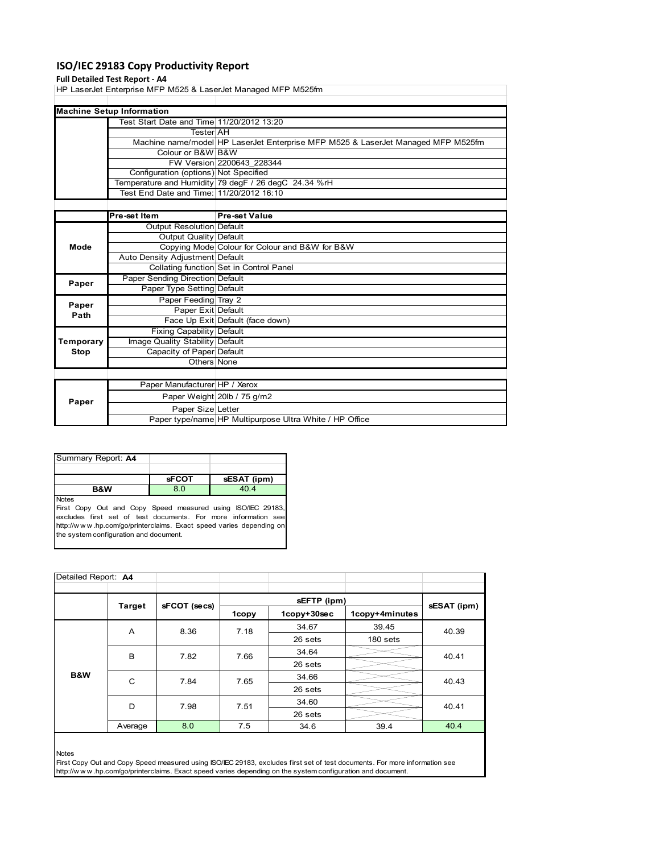# **ISO/IEC 29183 Copy Productivity Report**

### **Full Detailed Test Report ‐ A4**

HP LaserJet Enterprise MFP M525 & LaserJet Managed MFP M525fm

| <b>Machine Setup Information</b>          |                                                                                  |
|-------------------------------------------|----------------------------------------------------------------------------------|
| Test Start Date and Time 11/20/2012 13:20 |                                                                                  |
| TesterIAH                                 |                                                                                  |
|                                           | Machine name/model HP LaserJet Enterprise MFP M525 & LaserJet Managed MFP M525fm |
| Colour or B&W B&W                         |                                                                                  |
|                                           | FW Version 2200643 228344                                                        |
| Configuration (options) Not Specified     |                                                                                  |
|                                           | Temperature and Humidity 79 degF / 26 degC 24.34 %rH                             |
|                                           |                                                                                  |
|                                           |                                                                                  |

|           | Pre-set Item                     | <b>Pre-set Value</b>                                    |
|-----------|----------------------------------|---------------------------------------------------------|
|           | Output Resolution Default        |                                                         |
|           | Output Quality Default           |                                                         |
| Mode      |                                  | Copying Mode Colour for Colour and B&W for B&W          |
|           | Auto Density Adjustment Default  |                                                         |
|           |                                  | Collating function Set in Control Panel                 |
| Paper     | Paper Sending Direction Default  |                                                         |
|           | Paper Type Setting Default       |                                                         |
| Paper     | Paper Feeding Tray 2             |                                                         |
| Path      | Paper Exit Default               |                                                         |
|           |                                  | Face Up Exit Default (face down)                        |
|           | <b>Fixing Capability Default</b> |                                                         |
| Temporary | Image Quality Stability Default  |                                                         |
| Stop      | Capacity of Paper Default        |                                                         |
|           | Others None                      |                                                         |
|           |                                  |                                                         |
|           | Paper Manufacturer HP / Xerox    |                                                         |
| Paper     |                                  | Paper Weight 20lb / 75 g/m2                             |
|           | Paper Size Letter                |                                                         |
|           |                                  | Paper type/name HP Multipurpose Ultra White / HP Office |

| Summary Report: A4 |              |             |
|--------------------|--------------|-------------|
|                    |              |             |
|                    | <b>sFCOT</b> | sESAT (ipm) |
| <b>B&amp;W</b>     | 8.0          | 404         |
| <b>Notes</b>       |              |             |

First Copy Out and Copy Speed measured using ISO/IEC 29183, excludes first set of test documents. For more information see http://w w w .hp.com/go/printerclaims. Exact speed varies depending on the system configuration and document.

| Detailed Report: A4 |              |       |             |                |             |       |
|---------------------|--------------|-------|-------------|----------------|-------------|-------|
|                     |              |       |             |                |             |       |
| Target              | sFCOT (secs) | 1copy | 1copy+30sec | 1copy+4minutes | sESAT (ipm) |       |
|                     | A            | 8.36  | 7.18        | 34.67          | 39.45       | 40.39 |
|                     |              |       |             | 26 sets        | 180 sets    |       |
|                     | B            | 7.82  | 7.66        | 34.64          |             | 40.41 |
|                     |              |       |             | 26 sets        |             |       |
| B&W                 | C            | 7.84  | 7.65        | 34.66          |             | 40.43 |
|                     |              |       |             | 26 sets        |             |       |
|                     | D            | 7.98  | 7.51        | 34.60          |             | 40.41 |
|                     |              |       |             | 26 sets        |             |       |
|                     | Average      | 8.0   | 7.5         | 34.6           | 39.4        | 40.4  |

Notes

First Copy Out and Copy Speed measured using ISO/IEC 29183, excludes first set of test documents. For more information see http://w w w .hp.com/go/printerclaims. Exact speed varies depending on the system configuration and document.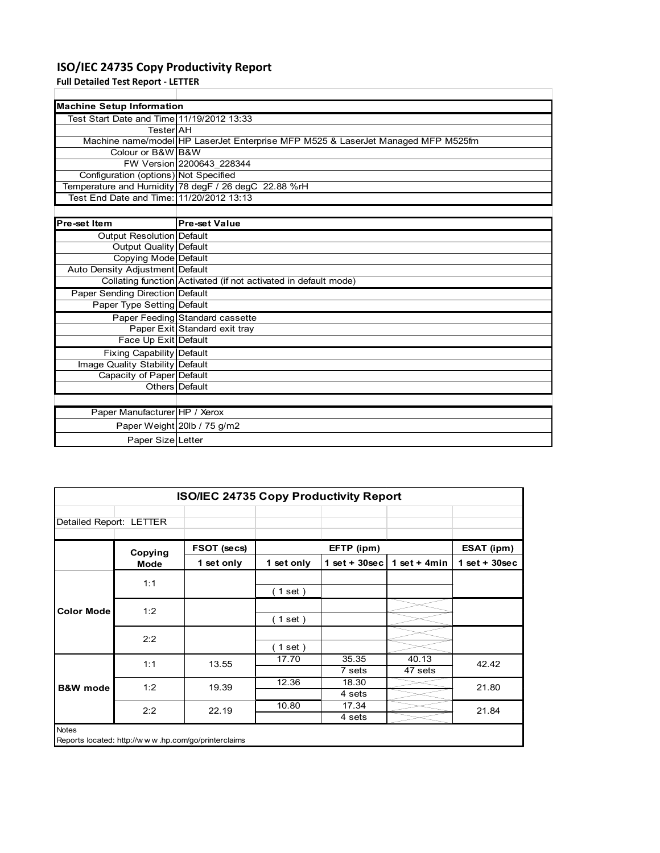# **ISO/IEC 24735 Copy Productivity Report**

**Full Detailed Test Report ‐ LETTER**

| <b>Machine Setup Information</b>             |                                                                                  |  |  |  |  |
|----------------------------------------------|----------------------------------------------------------------------------------|--|--|--|--|
| Test Start Date and Time 11/19/2012 13:33    |                                                                                  |  |  |  |  |
| TesterlAH                                    |                                                                                  |  |  |  |  |
|                                              | Machine name/model HP LaserJet Enterprise MFP M525 & LaserJet Managed MFP M525fm |  |  |  |  |
| Colour or B&W B&W                            |                                                                                  |  |  |  |  |
|                                              | FW Version 2200643 228344                                                        |  |  |  |  |
| <b>Configuration (options) Not Specified</b> |                                                                                  |  |  |  |  |
|                                              | Temperature and Humidity 78 degF / 26 degC 22.88 %rH                             |  |  |  |  |
| Test End Date and Time: 11/20/2012 13:13     |                                                                                  |  |  |  |  |
|                                              |                                                                                  |  |  |  |  |
| Pre-set Item                                 | <b>Pre-set Value</b>                                                             |  |  |  |  |
| <b>Output Resolution Default</b>             |                                                                                  |  |  |  |  |
| Output Quality Default                       |                                                                                  |  |  |  |  |
| Copying Mode Default                         |                                                                                  |  |  |  |  |
| Auto Density Adjustment Default              |                                                                                  |  |  |  |  |
|                                              | Collating function Activated (if not activated in default mode)                  |  |  |  |  |
| Paper Sending Direction Default              |                                                                                  |  |  |  |  |
| Paper Type Setting Default                   |                                                                                  |  |  |  |  |
|                                              | Paper Feeding Standard cassette                                                  |  |  |  |  |
|                                              | Paper Exit Standard exit tray                                                    |  |  |  |  |
| Face Up Exit Default                         |                                                                                  |  |  |  |  |
| Fixing Capability Default                    |                                                                                  |  |  |  |  |
| Image Quality Stability Default              |                                                                                  |  |  |  |  |
| Capacity of Paper Default                    |                                                                                  |  |  |  |  |
|                                              | Others   Default                                                                 |  |  |  |  |
|                                              |                                                                                  |  |  |  |  |
| Paper Manufacturer HP / Xerox                |                                                                                  |  |  |  |  |
|                                              | Paper Weight 20lb / 75 g/m2                                                      |  |  |  |  |
| Paper Size Letter                            |                                                                                  |  |  |  |  |

|                         |         | <b>ISO/IEC 24735 Copy Productivity Report</b>       |             |                 |                  |                 |
|-------------------------|---------|-----------------------------------------------------|-------------|-----------------|------------------|-----------------|
| Detailed Report: LETTER |         |                                                     |             |                 |                  |                 |
|                         | Copying |                                                     | FSOT (secs) |                 | EFTP (ipm)       |                 |
|                         | Mode    | 1 set only                                          | 1 set only  | $1$ set + 30sec | 1 set $+$ 4min   | $1$ set + 30sec |
| <b>Color Mode</b>       | 1:1     |                                                     | (1 set )    |                 |                  |                 |
|                         | 1:2     |                                                     | (1 set)     |                 |                  |                 |
|                         | 2:2     |                                                     | (1 set )    |                 |                  |                 |
| <b>B&amp;W</b> mode     | 1:1     | 13.55                                               | 17.70       | 35.35<br>7 sets | 40.13<br>47 sets | 42.42           |
|                         | 1:2     | 19.39                                               | 12.36       | 18.30<br>4 sets |                  | 21.80           |
|                         | 2:2     | 22.19                                               | 10.80       | 17.34<br>4 sets |                  | 21.84           |
| <b>Notes</b>            |         | Reports located: http://www.hp.com/go/printerclaims |             |                 |                  |                 |